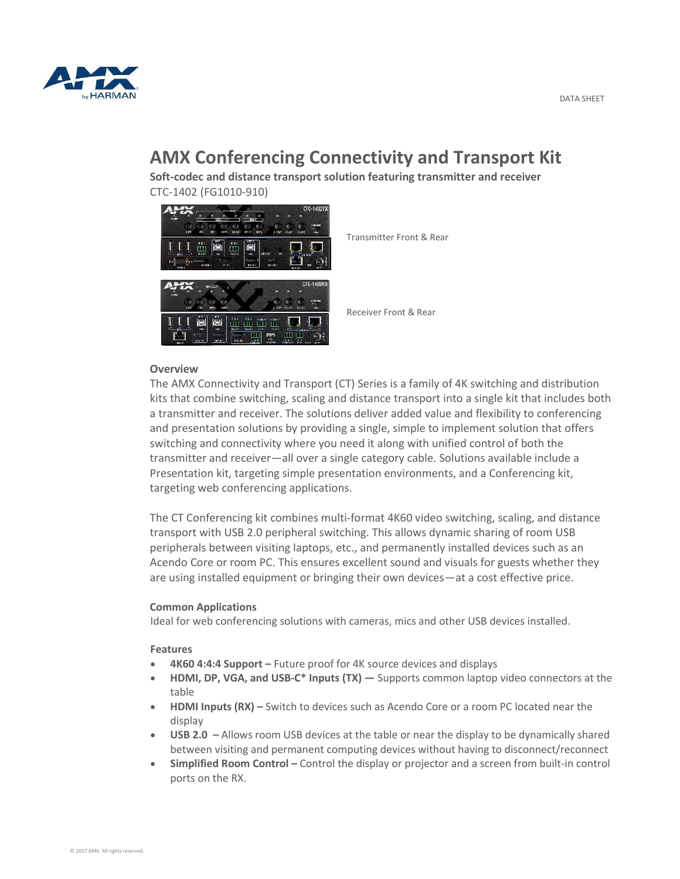

# **AMX Conferencing Connectivity and Transport Kit**

**Soft-codec and distance transport solution featuring transmitter and receiver**  CTC-1402 (FG1010-910)



Transmitter Front & Rear

Receiver Front & Rear

## **Overview**

The AMX Connectivity and Transport (CT) Series is a family of 4K switching and distribution kits that combine switching, scaling and distance transport into a single kit that includes both a transmitter and receiver. The solutions deliver added value and flexibility to conferencing and presentation solutions by providing a single, simple to implement solution that offers switching and connectivity where you need it along with unified control of both the transmitter and receiver—all over a single category cable. Solutions available include a Presentation kit, targeting simple presentation environments, and a Conferencing kit, targeting web conferencing applications.

The CT Conferencing kit combines multi-format 4K60 video switching, scaling, and distance transport with USB 2.0 peripheral switching. This allows dynamic sharing of room USB peripherals between visiting laptops, etc., and permanently installed devices such as an Acendo Core or room PC. This ensures excellent sound and visuals for guests whether they are using installed equipment or bringing their own devices—at a cost effective price.

#### **Common Applications**

Ideal for web conferencing solutions with cameras, mics and other USB devices installed.

#### **Features**

- **4K60 4:4:4 Support –** Future proof for 4K source devices and displays
- **HDMI, DP, VGA, and USB-C\* Inputs (TX) —** Supports common laptop video connectors at the table
- **HDMI Inputs (RX) –** Switch to devices such as Acendo Core or a room PC located near the display
- **USB 2.0 –** Allows room USB devices at the table or near the display to be dynamically shared between visiting and permanent computing devices without having to disconnect/reconnect
- **Simplified Room Control –** Control the display or projector and a screen from built-in control ports on the RX.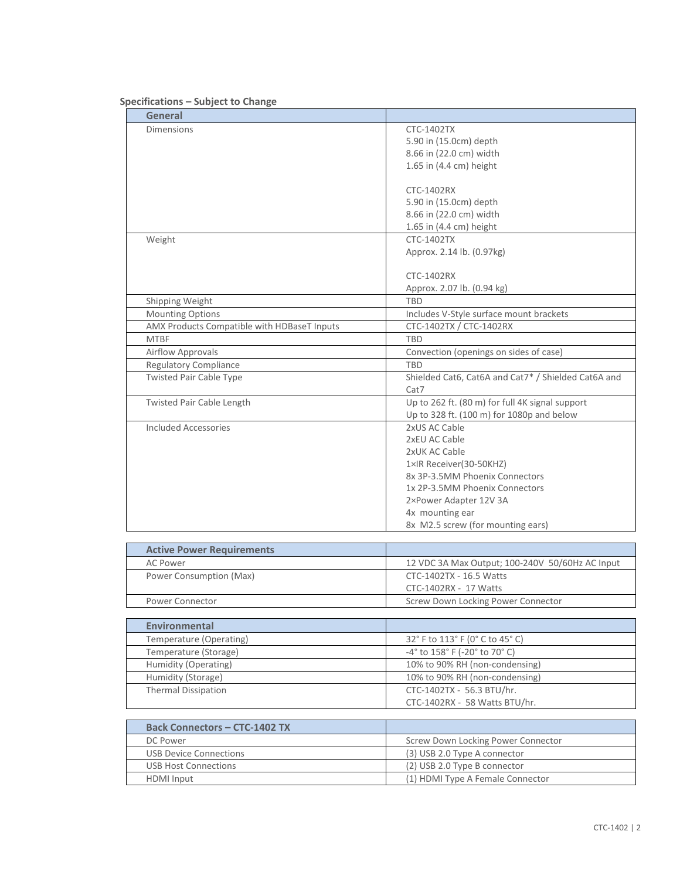| General                                             |                                                     |
|-----------------------------------------------------|-----------------------------------------------------|
| <b>Dimensions</b>                                   | CTC-1402TX                                          |
|                                                     | 5.90 in (15.0cm) depth                              |
|                                                     | 8.66 in (22.0 cm) width                             |
|                                                     | 1.65 in (4.4 cm) height                             |
|                                                     |                                                     |
|                                                     | CTC-1402RX                                          |
|                                                     | 5.90 in (15.0cm) depth                              |
|                                                     | 8.66 in (22.0 cm) width                             |
|                                                     | 1.65 in (4.4 cm) height                             |
| Weight                                              | <b>CTC-1402TX</b>                                   |
|                                                     | Approx. 2.14 lb. (0.97kg)                           |
|                                                     | CTC-1402RX                                          |
|                                                     | Approx. 2.07 lb. (0.94 kg)                          |
| Shipping Weight                                     | <b>TBD</b>                                          |
| Mounting Options                                    | Includes V-Style surface mount brackets             |
| AMX Products Compatible with HDBaseT Inputs         | CTC-1402TX / CTC-1402RX                             |
| <b>MTBF</b>                                         |                                                     |
|                                                     | <b>TBD</b>                                          |
| Airflow Approvals                                   | Convection (openings on sides of case)              |
| <b>Regulatory Compliance</b>                        | <b>TBD</b>                                          |
| <b>Twisted Pair Cable Type</b>                      | Shielded Cat6, Cat6A and Cat7* / Shielded Cat6A and |
|                                                     | Cat7                                                |
| Twisted Pair Cable Length                           | Up to 262 ft. (80 m) for full 4K signal support     |
|                                                     | Up to 328 ft. (100 m) for 1080p and below           |
| <b>Included Accessories</b>                         | 2xUS AC Cable                                       |
|                                                     | 2xEU AC Cable                                       |
|                                                     | 2xUK AC Cable                                       |
|                                                     | 1×IR Receiver(30-50KHZ)                             |
|                                                     | 8x 3P-3.5MM Phoenix Connectors                      |
|                                                     | 1x 2P-3.5MM Phoenix Connectors                      |
|                                                     | 2×Power Adapter 12V 3A                              |
|                                                     | 4x mounting ear                                     |
|                                                     | 8x M2.5 screw (for mounting ears)                   |
|                                                     |                                                     |
| <b>Active Power Requirements</b><br><b>AC Power</b> | 12 VDC 3A Max Output; 100-240V 50/60Hz AC Input     |
| Power Consumption (Max)                             | CTC-1402TX - 16.5 Watts                             |
|                                                     | CTC-1402RX - 17 Watts                               |
|                                                     |                                                     |
| Power Connector                                     | Screw Down Locking Power Connector                  |
| <b>Environmental</b>                                |                                                     |
| Temperature (Operating)                             | 32° F to 113° F (0° C to 45° C)                     |
| Temperature (Storage)                               | -4° to 158° F (-20° to 70° C)                       |
| Humidity (Operating)                                | 10% to 90% RH (non-condensing)                      |
| Humidity (Storage)                                  | 10% to 90% RH (non-condensing)                      |
| <b>Thermal Dissipation</b>                          | CTC-1402TX - 56.3 BTU/hr.                           |
|                                                     |                                                     |
|                                                     | CTC-1402RX - 58 Watts BTU/hr.                       |

## **Specifications – Subject to Change**

| <b>Back Connectors - CTC-1402 TX</b> |                                    |
|--------------------------------------|------------------------------------|
| DC Power                             | Screw Down Locking Power Connector |
| USB Device Connections               | (3) USB 2.0 Type A connector       |
| USB Host Connections                 | (2) USB 2.0 Type B connector       |
| <b>HDMI</b> Input                    | (1) HDMI Type A Female Connector   |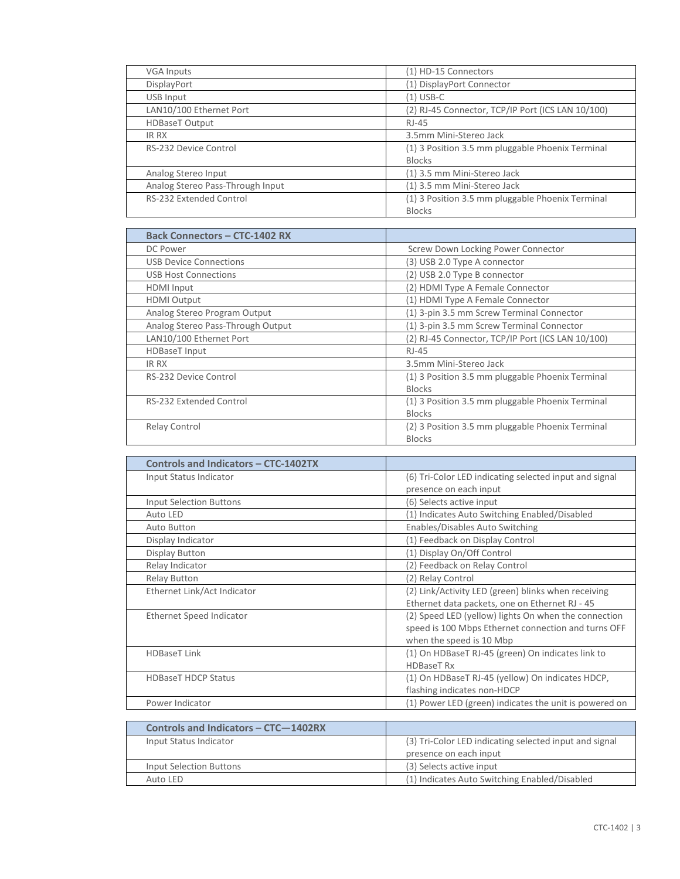| <b>VGA Inputs</b>                | (1) HD-15 Connectors                              |
|----------------------------------|---------------------------------------------------|
| DisplayPort                      | (1) DisplayPort Connector                         |
| USB Input                        | $(1)$ USB-C                                       |
| LAN10/100 Ethernet Port          | (2) RJ-45 Connector, TCP/IP Port (ICS LAN 10/100) |
| <b>HDBaseT Output</b>            | RJ-45                                             |
| <b>IR RX</b>                     | 3.5mm Mini-Stereo Jack                            |
| RS-232 Device Control            | (1) 3 Position 3.5 mm pluggable Phoenix Terminal  |
|                                  | <b>Blocks</b>                                     |
| Analog Stereo Input              | (1) 3.5 mm Mini-Stereo Jack                       |
| Analog Stereo Pass-Through Input | (1) 3.5 mm Mini-Stereo Jack                       |
| <b>RS-232 Extended Control</b>   | (1) 3 Position 3.5 mm pluggable Phoenix Terminal  |
|                                  | <b>Blocks</b>                                     |

| <b>Back Connectors - CTC-1402 RX</b> |                                                   |
|--------------------------------------|---------------------------------------------------|
| DC Power                             | Screw Down Locking Power Connector                |
| USB Device Connections               | (3) USB 2.0 Type A connector                      |
| <b>USB Host Connections</b>          | (2) USB 2.0 Type B connector                      |
| <b>HDMI</b> Input                    | (2) HDMI Type A Female Connector                  |
| <b>HDMI Output</b>                   | (1) HDMI Type A Female Connector                  |
| Analog Stereo Program Output         | (1) 3-pin 3.5 mm Screw Terminal Connector         |
| Analog Stereo Pass-Through Output    | (1) 3-pin 3.5 mm Screw Terminal Connector         |
| LAN10/100 Ethernet Port              | (2) RJ-45 Connector, TCP/IP Port (ICS LAN 10/100) |
| <b>HDBaseT</b> Input                 | RJ-45                                             |
| IR RX                                | 3.5mm Mini-Stereo Jack                            |
| RS-232 Device Control                | (1) 3 Position 3.5 mm pluggable Phoenix Terminal  |
|                                      | <b>Blocks</b>                                     |
| <b>RS-232 Extended Control</b>       | (1) 3 Position 3.5 mm pluggable Phoenix Terminal  |
|                                      | <b>Blocks</b>                                     |
| <b>Relay Control</b>                 | (2) 3 Position 3.5 mm pluggable Phoenix Terminal  |
|                                      | <b>Blocks</b>                                     |

| <b>Controls and Indicators - CTC-1402TX</b> |                                                        |
|---------------------------------------------|--------------------------------------------------------|
| Input Status Indicator                      | (6) Tri-Color LED indicating selected input and signal |
|                                             | presence on each input                                 |
| <b>Input Selection Buttons</b>              | (6) Selects active input                               |
| Auto LED                                    | (1) Indicates Auto Switching Enabled/Disabled          |
| <b>Auto Button</b>                          | Enables/Disables Auto Switching                        |
| Display Indicator                           | (1) Feedback on Display Control                        |
| Display Button                              | (1) Display On/Off Control                             |
| Relay Indicator                             | (2) Feedback on Relay Control                          |
| Relay Button                                | (2) Relay Control                                      |
| Ethernet Link/Act Indicator                 | (2) Link/Activity LED (green) blinks when receiving    |
|                                             | Ethernet data packets, one on Ethernet RJ - 45         |
| Ethernet Speed Indicator                    | (2) Speed LED (yellow) lights On when the connection   |
|                                             | speed is 100 Mbps Ethernet connection and turns OFF    |
|                                             | when the speed is 10 Mbp                               |
| <b>HDBaseT Link</b>                         | (1) On HDBaseT RJ-45 (green) On indicates link to      |
|                                             | <b>HDBaseT Rx</b>                                      |
| <b>HDBaseT HDCP Status</b>                  | (1) On HDBaseT RJ-45 (yellow) On indicates HDCP,       |
|                                             | flashing indicates non-HDCP                            |
| Power Indicator                             | (1) Power LED (green) indicates the unit is powered on |
|                                             |                                                        |
| Controls and Indicators - CTC-1402RX        |                                                        |
| Input Status Indicator                      | (3) Tri-Color LED indicating selected input and signal |
|                                             | presence on each input                                 |

Auto LED (1) Indicates Auto Switching Enabled/Disabled

Input Selection Buttons (3) Selects active input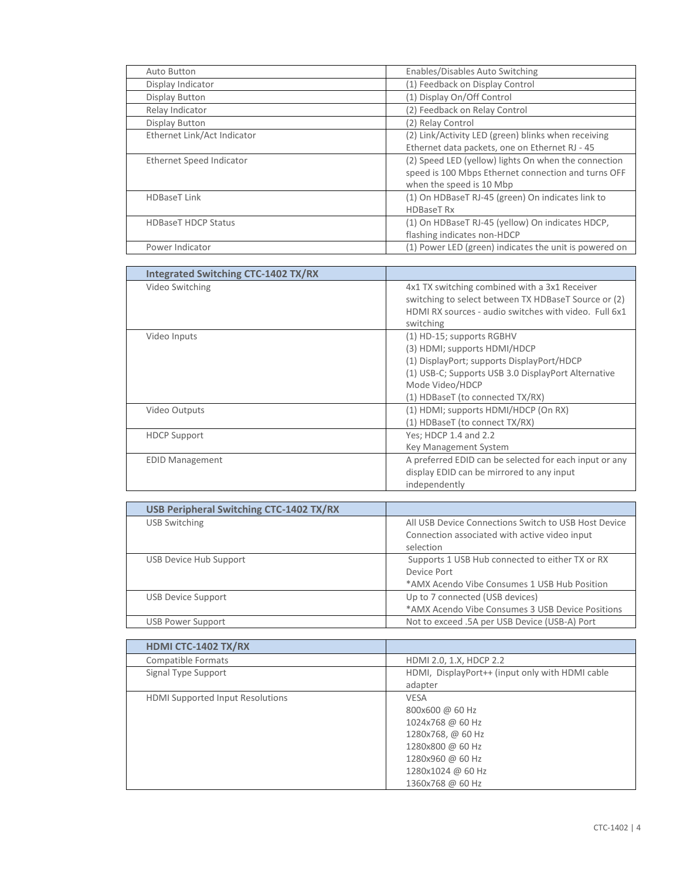| Auto Button                 | Enables/Disables Auto Switching                        |
|-----------------------------|--------------------------------------------------------|
| Display Indicator           | (1) Feedback on Display Control                        |
| Display Button              | (1) Display On/Off Control                             |
| Relay Indicator             | (2) Feedback on Relay Control                          |
| Display Button              | (2) Relay Control                                      |
| Ethernet Link/Act Indicator | (2) Link/Activity LED (green) blinks when receiving    |
|                             | Ethernet data packets, one on Ethernet RJ - 45         |
| Ethernet Speed Indicator    | (2) Speed LED (yellow) lights On when the connection   |
|                             | speed is 100 Mbps Ethernet connection and turns OFF    |
|                             | when the speed is 10 Mbp                               |
| <b>HDBaseT Link</b>         | (1) On HDBaseT RJ-45 (green) On indicates link to      |
|                             | <b>HDBaseT Rx</b>                                      |
| <b>HDBaseT HDCP Status</b>  | (1) On HDBaseT RJ-45 (yellow) On indicates HDCP,       |
|                             | flashing indicates non-HDCP                            |
| Power Indicator             | (1) Power LED (green) indicates the unit is powered on |

| <b>Integrated Switching CTC-1402 TX/RX</b> |                                                                                                                                                                                                                       |
|--------------------------------------------|-----------------------------------------------------------------------------------------------------------------------------------------------------------------------------------------------------------------------|
| Video Switching                            | 4x1 TX switching combined with a 3x1 Receiver<br>switching to select between TX HDBaseT Source or (2)<br>HDMI RX sources - audio switches with video. Full 6x1<br>switching                                           |
| Video Inputs                               | (1) HD-15; supports RGBHV<br>(3) HDMI; supports HDMI/HDCP<br>(1) DisplayPort; supports DisplayPort/HDCP<br>(1) USB-C; Supports USB 3.0 DisplayPort Alternative<br>Mode Video/HDCP<br>(1) HDBaseT (to connected TX/RX) |
| Video Outputs                              | (1) HDMI; supports HDMI/HDCP (On RX)<br>(1) HDBaseT (to connect TX/RX)                                                                                                                                                |
| <b>HDCP Support</b>                        | Yes; HDCP 1.4 and 2.2<br>Key Management System                                                                                                                                                                        |
| <b>EDID Management</b>                     | A preferred EDID can be selected for each input or any<br>display EDID can be mirrored to any input<br>independently                                                                                                  |

| USB Peripheral Switching CTC-1402 TX/RX |                                                      |
|-----------------------------------------|------------------------------------------------------|
| <b>USB Switching</b>                    | All USB Device Connections Switch to USB Host Device |
|                                         | Connection associated with active video input        |
|                                         | selection                                            |
| USB Device Hub Support                  | Supports 1 USB Hub connected to either TX or RX      |
|                                         | Device Port                                          |
|                                         | *AMX Acendo Vibe Consumes 1 USB Hub Position         |
| <b>USB Device Support</b>               | Up to 7 connected (USB devices)                      |
|                                         | *AMX Acendo Vibe Consumes 3 USB Device Positions     |
| USB Power Support                       | Not to exceed .5A per USB Device (USB-A) Port        |

| HDMI CTC-1402 TX/RX                     |                                                                                                                                                          |
|-----------------------------------------|----------------------------------------------------------------------------------------------------------------------------------------------------------|
| Compatible Formats                      | HDMI 2.0, 1.X, HDCP 2.2                                                                                                                                  |
| Signal Type Support                     | HDMI, DisplayPort++ (input only with HDMI cable<br>adapter                                                                                               |
| <b>HDMI Supported Input Resolutions</b> | <b>VESA</b><br>800x600 @ 60 Hz<br>1024x768 @ 60 Hz<br>1280x768, @ 60 Hz<br>1280x800 @ 60 Hz<br>1280x960 @ 60 Hz<br>1280x1024 @ 60 Hz<br>1360x768 @ 60 Hz |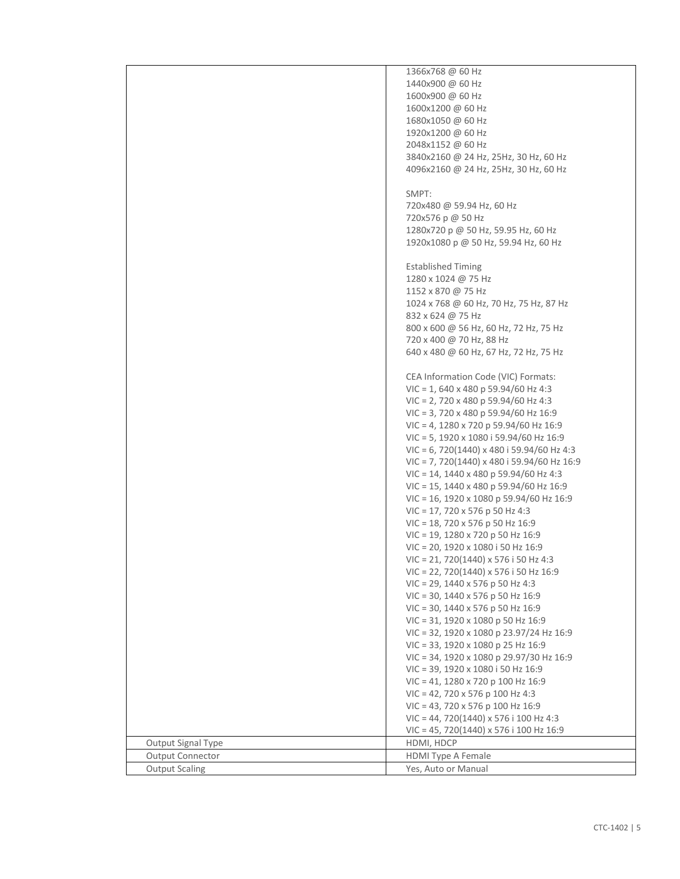|                         | 1366x768 @ 60 Hz                                  |
|-------------------------|---------------------------------------------------|
|                         | 1440x900 @ 60 Hz                                  |
|                         | 1600x900 @ 60 Hz                                  |
|                         | 1600x1200 @ 60 Hz                                 |
|                         |                                                   |
|                         | 1680x1050 @ 60 Hz                                 |
|                         | 1920x1200 @ 60 Hz                                 |
|                         | 2048x1152 @ 60 Hz                                 |
|                         | 3840x2160 @ 24 Hz, 25Hz, 30 Hz, 60 Hz             |
|                         | 4096x2160 @ 24 Hz, 25Hz, 30 Hz, 60 Hz             |
|                         |                                                   |
|                         | SMPT:                                             |
|                         | 720x480 @ 59.94 Hz, 60 Hz                         |
|                         | 720x576 p @ 50 Hz                                 |
|                         | 1280x720 p @ 50 Hz, 59.95 Hz, 60 Hz               |
|                         | 1920x1080 p @ 50 Hz, 59.94 Hz, 60 Hz              |
|                         |                                                   |
|                         |                                                   |
|                         | <b>Established Timing</b>                         |
|                         | 1280 x 1024 @ 75 Hz                               |
|                         | 1152 x 870 @ 75 Hz                                |
|                         | 1024 x 768 @ 60 Hz, 70 Hz, 75 Hz, 87 Hz           |
|                         | 832 x 624 @ 75 Hz                                 |
|                         | 800 x 600 @ 56 Hz, 60 Hz, 72 Hz, 75 Hz            |
|                         | 720 x 400 @ 70 Hz, 88 Hz                          |
|                         | 640 x 480 @ 60 Hz, 67 Hz, 72 Hz, 75 Hz            |
|                         |                                                   |
|                         | CEA Information Code (VIC) Formats:               |
|                         | $VIC = 1,640 \times 480 p 59.94/60 Hz 4:3$        |
|                         | $VIC = 2$ , 720 x 480 p 59.94/60 Hz 4:3           |
|                         | VIC = 3, 720 x 480 p 59.94/60 Hz 16:9             |
|                         |                                                   |
|                         | $VIC = 4$ , 1280 x 720 p 59.94/60 Hz 16:9         |
|                         | $VIC = 5$ , 1920 x 1080 i 59.94/60 Hz 16:9        |
|                         | $VIC = 6$ , 720(1440) x 480 i 59.94/60 Hz 4:3     |
|                         | $VIC = 7,720(1440) \times 480$ i 59.94/60 Hz 16:9 |
|                         | $VIC = 14$ , 1440 x 480 p 59.94/60 Hz 4:3         |
|                         | VIC = 15, 1440 x 480 p 59.94/60 Hz 16:9           |
|                         | VIC = 16, 1920 x 1080 p 59.94/60 Hz 16:9          |
|                         | $VIC = 17, 720 \times 576$ p 50 Hz 4:3            |
|                         | $VIC = 18$ , 720 x 576 p 50 Hz 16:9               |
|                         | VIC = 19, 1280 x 720 p 50 Hz 16:9                 |
|                         | VIC = 20, 1920 x 1080 i 50 Hz 16:9                |
|                         | $VIC = 21, 720(1440) \times 576$ i 50 Hz 4:3      |
|                         | $VIC = 22, 720(1440) \times 576$ i 50 Hz 16:9     |
|                         | $VIC = 29$ , 1440 x 576 p 50 Hz 4:3               |
|                         |                                                   |
|                         | $VIC = 30$ , 1440 x 576 p 50 Hz 16:9              |
|                         | VIC = 30, 1440 x 576 p 50 Hz 16:9                 |
|                         | VIC = 31, 1920 x 1080 p 50 Hz 16:9                |
|                         | VIC = 32, 1920 x 1080 p 23.97/24 Hz 16:9          |
|                         | VIC = 33, 1920 x 1080 p 25 Hz 16:9                |
|                         | VIC = 34, 1920 x 1080 p 29.97/30 Hz 16:9          |
|                         | VIC = 39, 1920 x 1080 i 50 Hz 16:9                |
|                         | VIC = 41, 1280 x 720 p 100 Hz 16:9                |
|                         | $VIC = 42$ , 720 x 576 p 100 Hz 4:3               |
|                         | VIC = 43, 720 x 576 p 100 Hz 16:9                 |
|                         | VIC = 44, 720(1440) x 576 i 100 Hz 4:3            |
|                         | $VIC = 45, 720(1440) \times 576$ i 100 Hz 16:9    |
| Output Signal Type      | HDMI, HDCP                                        |
| <b>Output Connector</b> | <b>HDMI Type A Female</b>                         |
|                         |                                                   |
| <b>Output Scaling</b>   | Yes, Auto or Manual                               |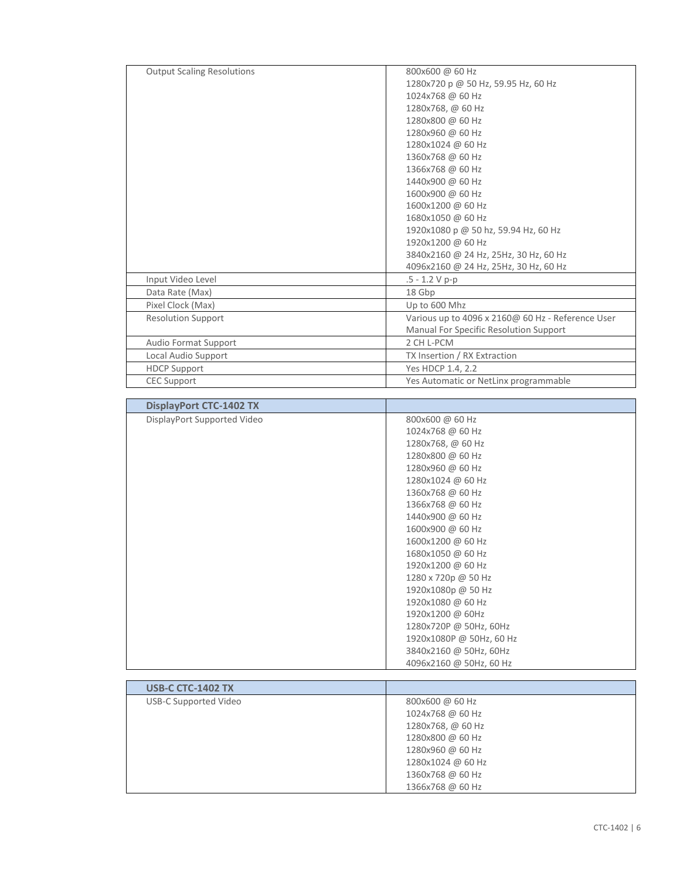| <b>Output Scaling Resolutions</b> | 800x600 @ 60 Hz                                   |
|-----------------------------------|---------------------------------------------------|
|                                   | 1280x720 p @ 50 Hz, 59.95 Hz, 60 Hz               |
|                                   | 1024x768 @ 60 Hz                                  |
|                                   | 1280x768, @ 60 Hz                                 |
|                                   | 1280x800 @ 60 Hz                                  |
|                                   | 1280x960 @ 60 Hz                                  |
|                                   | 1280x1024 @ 60 Hz                                 |
|                                   | 1360x768 @ 60 Hz                                  |
|                                   | 1366x768 @ 60 Hz                                  |
|                                   | 1440x900 @ 60 Hz                                  |
|                                   | 1600x900 @ 60 Hz                                  |
|                                   | 1600x1200 @ 60 Hz                                 |
|                                   | 1680x1050 @ 60 Hz                                 |
|                                   | 1920x1080 p @ 50 hz, 59.94 Hz, 60 Hz              |
|                                   | 1920x1200 @ 60 Hz                                 |
|                                   | 3840x2160 @ 24 Hz, 25Hz, 30 Hz, 60 Hz             |
|                                   | 4096x2160 @ 24 Hz, 25Hz, 30 Hz, 60 Hz             |
| Input Video Level                 | $.5 - 1.2 V p-p$                                  |
| Data Rate (Max)                   | 18 Gbp                                            |
| Pixel Clock (Max)                 | Up to 600 Mhz                                     |
| <b>Resolution Support</b>         | Various up to 4096 x 2160@ 60 Hz - Reference User |
|                                   | Manual For Specific Resolution Support            |
| Audio Format Support              | 2 CH L-PCM                                        |
| Local Audio Support               | TX Insertion / RX Extraction                      |
| <b>HDCP Support</b>               | Yes HDCP 1.4, 2.2                                 |
| <b>CEC Support</b>                | Yes Automatic or NetLinx programmable             |

| DisplayPort Supported Video<br>800x600 @ 60 Hz<br>1024x768 @ 60 Hz<br>1280x768, @ 60 Hz<br>1280x800 @ 60 Hz<br>1280x960 @ 60 Hz<br>1280x1024 @ 60 Hz<br>1360x768 @ 60 Hz<br>1366x768 @ 60 Hz<br>1440x900 @ 60 Hz<br>1600x900 @ 60 Hz<br>1600x1200 @ 60 Hz<br>1680x1050 @ 60 Hz<br>1920x1200 @ 60 Hz<br>1280 x 720p @ 50 Hz<br>1920x1080p @ 50 Hz<br>1920x1080 @ 60 Hz<br>1920x1200 @ 60Hz<br>1280x720P @ 50Hz, 60Hz<br>1920x1080P @ 50Hz, 60 Hz<br>3840x2160 @ 50Hz, 60Hz | <b>DisplayPort CTC-1402 TX</b> |                         |
|---------------------------------------------------------------------------------------------------------------------------------------------------------------------------------------------------------------------------------------------------------------------------------------------------------------------------------------------------------------------------------------------------------------------------------------------------------------------------|--------------------------------|-------------------------|
|                                                                                                                                                                                                                                                                                                                                                                                                                                                                           |                                |                         |
|                                                                                                                                                                                                                                                                                                                                                                                                                                                                           |                                |                         |
|                                                                                                                                                                                                                                                                                                                                                                                                                                                                           |                                |                         |
|                                                                                                                                                                                                                                                                                                                                                                                                                                                                           |                                |                         |
|                                                                                                                                                                                                                                                                                                                                                                                                                                                                           |                                |                         |
|                                                                                                                                                                                                                                                                                                                                                                                                                                                                           |                                |                         |
|                                                                                                                                                                                                                                                                                                                                                                                                                                                                           |                                |                         |
|                                                                                                                                                                                                                                                                                                                                                                                                                                                                           |                                |                         |
|                                                                                                                                                                                                                                                                                                                                                                                                                                                                           |                                |                         |
|                                                                                                                                                                                                                                                                                                                                                                                                                                                                           |                                |                         |
|                                                                                                                                                                                                                                                                                                                                                                                                                                                                           |                                |                         |
|                                                                                                                                                                                                                                                                                                                                                                                                                                                                           |                                |                         |
|                                                                                                                                                                                                                                                                                                                                                                                                                                                                           |                                |                         |
|                                                                                                                                                                                                                                                                                                                                                                                                                                                                           |                                |                         |
|                                                                                                                                                                                                                                                                                                                                                                                                                                                                           |                                |                         |
|                                                                                                                                                                                                                                                                                                                                                                                                                                                                           |                                |                         |
|                                                                                                                                                                                                                                                                                                                                                                                                                                                                           |                                |                         |
|                                                                                                                                                                                                                                                                                                                                                                                                                                                                           |                                |                         |
|                                                                                                                                                                                                                                                                                                                                                                                                                                                                           |                                |                         |
|                                                                                                                                                                                                                                                                                                                                                                                                                                                                           |                                |                         |
|                                                                                                                                                                                                                                                                                                                                                                                                                                                                           |                                | 4096x2160 @ 50Hz, 60 Hz |

| <b>USB-C CTC-1402 TX</b> |                   |
|--------------------------|-------------------|
| USB-C Supported Video    | 800x600 @ 60 Hz   |
|                          | 1024x768 @ 60 Hz  |
|                          | 1280x768, @ 60 Hz |
|                          | 1280x800 @ 60 Hz  |
|                          | 1280x960 @ 60 Hz  |
|                          | 1280x1024 @ 60 Hz |
|                          | 1360x768 @ 60 Hz  |
|                          | 1366x768 @ 60 Hz  |